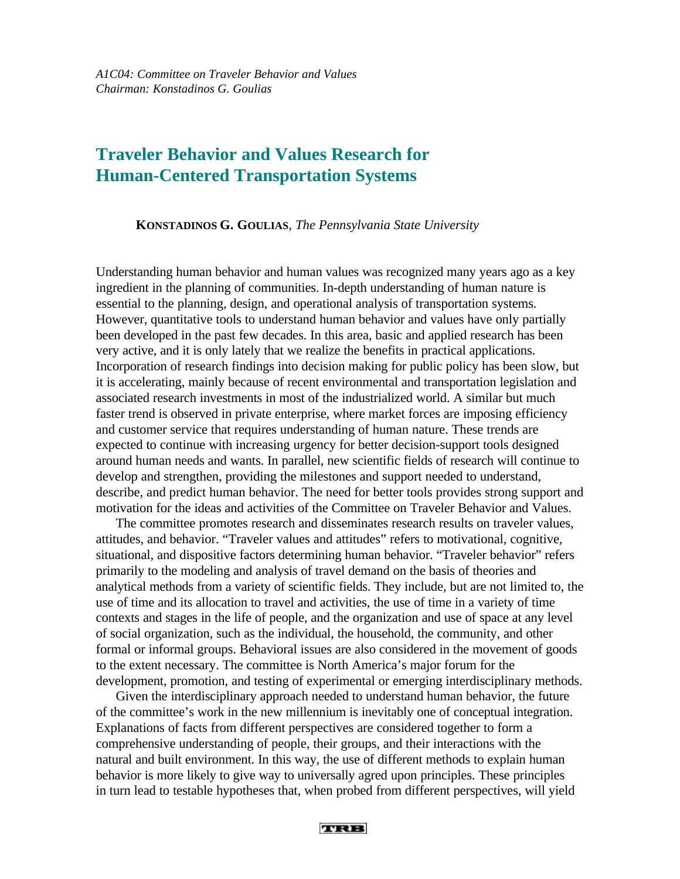# **Traveler Behavior and Values Research for Human-Centered Transportation Systems**

**KONSTADINOS G. GOULIAS**, *The Pennsylvania State University*

Understanding human behavior and human values was recognized many years ago as a key ingredient in the planning of communities. In-depth understanding of human nature is essential to the planning, design, and operational analysis of transportation systems. However, quantitative tools to understand human behavior and values have only partially been developed in the past few decades. In this area, basic and applied research has been very active, and it is only lately that we realize the benefits in practical applications. Incorporation of research findings into decision making for public policy has been slow, but it is accelerating, mainly because of recent environmental and transportation legislation and associated research investments in most of the industrialized world. A similar but much faster trend is observed in private enterprise, where market forces are imposing efficiency and customer service that requires understanding of human nature. These trends are expected to continue with increasing urgency for better decision-support tools designed around human needs and wants. In parallel, new scientific fields of research will continue to develop and strengthen, providing the milestones and support needed to understand, describe, and predict human behavior. The need for better tools provides strong support and motivation for the ideas and activities of the Committee on Traveler Behavior and Values.

The committee promotes research and disseminates research results on traveler values, attitudes, and behavior. "Traveler values and attitudes" refers to motivational, cognitive, situational, and dispositive factors determining human behavior. "Traveler behavior" refers primarily to the modeling and analysis of travel demand on the basis of theories and analytical methods from a variety of scientific fields. They include, but are not limited to, the use of time and its allocation to travel and activities, the use of time in a variety of time contexts and stages in the life of people, and the organization and use of space at any level of social organization, such as the individual, the household, the community, and other formal or informal groups. Behavioral issues are also considered in the movement of goods to the extent necessary. The committee is North America's major forum for the development, promotion, and testing of experimental or emerging interdisciplinary methods.

Given the interdisciplinary approach needed to understand human behavior, the future of the committee's work in the new millennium is inevitably one of conceptual integration. Explanations of facts from different perspectives are considered together to form a comprehensive understanding of people, their groups, and their interactions with the natural and built environment. In this way, the use of different methods to explain human behavior is more likely to give way to universally agred upon principles. These principles in turn lead to testable hypotheses that, when probed from different perspectives, will yield

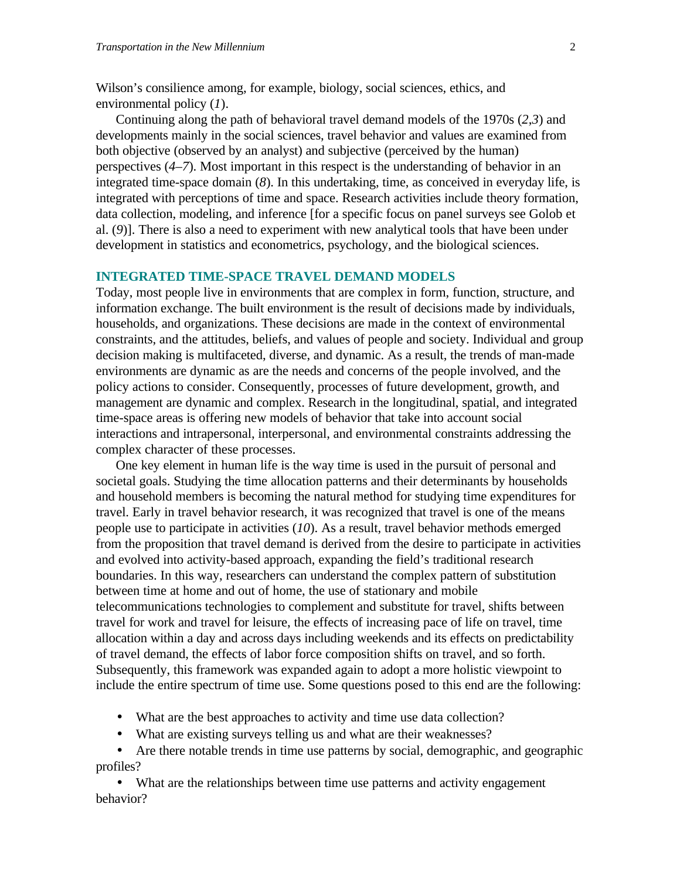Wilson's consilience among, for example, biology, social sciences, ethics, and environmental policy (*1*).

Continuing along the path of behavioral travel demand models of the 1970s (*2*,*3*) and developments mainly in the social sciences, travel behavior and values are examined from both objective (observed by an analyst) and subjective (perceived by the human) perspectives (*4*–*7*). Most important in this respect is the understanding of behavior in an integrated time-space domain (*8*). In this undertaking, time, as conceived in everyday life, is integrated with perceptions of time and space. Research activities include theory formation, data collection, modeling, and inference [for a specific focus on panel surveys see Golob et al. (*9*)]. There is also a need to experiment with new analytical tools that have been under development in statistics and econometrics, psychology, and the biological sciences.

## **INTEGRATED TIME-SPACE TRAVEL DEMAND MODELS**

Today, most people live in environments that are complex in form, function, structure, and information exchange. The built environment is the result of decisions made by individuals, households, and organizations. These decisions are made in the context of environmental constraints, and the attitudes, beliefs, and values of people and society. Individual and group decision making is multifaceted, diverse, and dynamic. As a result, the trends of man-made environments are dynamic as are the needs and concerns of the people involved, and the policy actions to consider. Consequently, processes of future development, growth, and management are dynamic and complex. Research in the longitudinal, spatial, and integrated time-space areas is offering new models of behavior that take into account social interactions and intrapersonal, interpersonal, and environmental constraints addressing the complex character of these processes.

One key element in human life is the way time is used in the pursuit of personal and societal goals. Studying the time allocation patterns and their determinants by households and household members is becoming the natural method for studying time expenditures for travel. Early in travel behavior research, it was recognized that travel is one of the means people use to participate in activities (*10*). As a result, travel behavior methods emerged from the proposition that travel demand is derived from the desire to participate in activities and evolved into activity-based approach, expanding the field's traditional research boundaries. In this way, researchers can understand the complex pattern of substitution between time at home and out of home, the use of stationary and mobile telecommunications technologies to complement and substitute for travel, shifts between travel for work and travel for leisure, the effects of increasing pace of life on travel, time allocation within a day and across days including weekends and its effects on predictability of travel demand, the effects of labor force composition shifts on travel, and so forth. Subsequently, this framework was expanded again to adopt a more holistic viewpoint to include the entire spectrum of time use. Some questions posed to this end are the following:

- What are the best approaches to activity and time use data collection?
- What are existing surveys telling us and what are their weaknesses?

• Are there notable trends in time use patterns by social, demographic, and geographic profiles?

• What are the relationships between time use patterns and activity engagement behavior?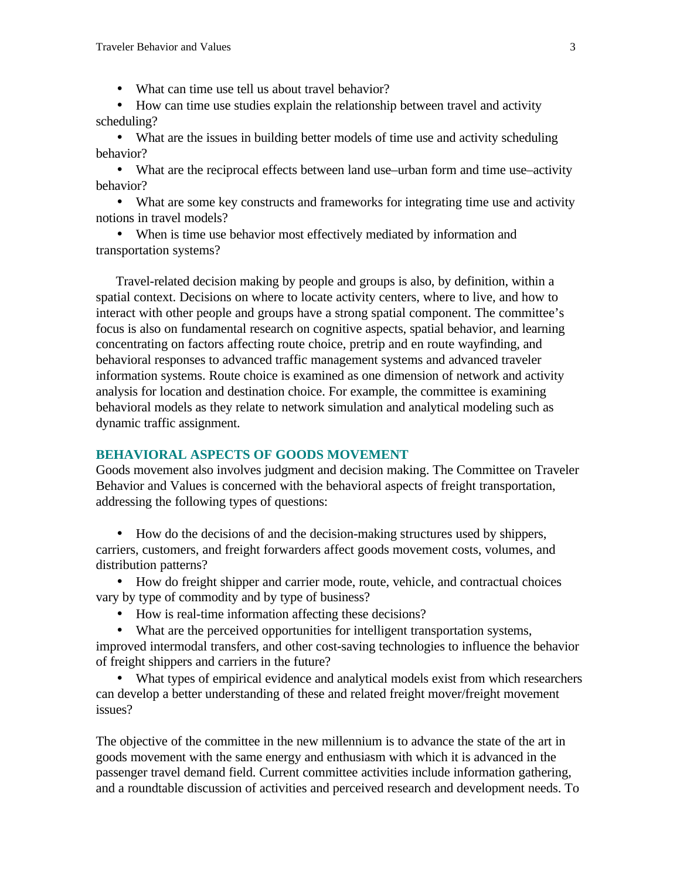• What can time use tell us about travel behavior?

• How can time use studies explain the relationship between travel and activity scheduling?

• What are the issues in building better models of time use and activity scheduling behavior?

• What are the reciprocal effects between land use–urban form and time use–activity behavior?

• What are some key constructs and frameworks for integrating time use and activity notions in travel models?

• When is time use behavior most effectively mediated by information and transportation systems?

Travel-related decision making by people and groups is also, by definition, within a spatial context. Decisions on where to locate activity centers, where to live, and how to interact with other people and groups have a strong spatial component. The committee's focus is also on fundamental research on cognitive aspects, spatial behavior, and learning concentrating on factors affecting route choice, pretrip and en route wayfinding, and behavioral responses to advanced traffic management systems and advanced traveler information systems. Route choice is examined as one dimension of network and activity analysis for location and destination choice. For example, the committee is examining behavioral models as they relate to network simulation and analytical modeling such as dynamic traffic assignment.

#### **BEHAVIORAL ASPECTS OF GOODS MOVEMENT**

Goods movement also involves judgment and decision making. The Committee on Traveler Behavior and Values is concerned with the behavioral aspects of freight transportation, addressing the following types of questions:

• How do the decisions of and the decision-making structures used by shippers, carriers, customers, and freight forwarders affect goods movement costs, volumes, and distribution patterns?

• How do freight shipper and carrier mode, route, vehicle, and contractual choices vary by type of commodity and by type of business?

- How is real-time information affecting these decisions?
- What are the perceived opportunities for intelligent transportation systems,

improved intermodal transfers, and other cost-saving technologies to influence the behavior of freight shippers and carriers in the future?

• What types of empirical evidence and analytical models exist from which researchers can develop a better understanding of these and related freight mover/freight movement issues?

The objective of the committee in the new millennium is to advance the state of the art in goods movement with the same energy and enthusiasm with which it is advanced in the passenger travel demand field. Current committee activities include information gathering, and a roundtable discussion of activities and perceived research and development needs. To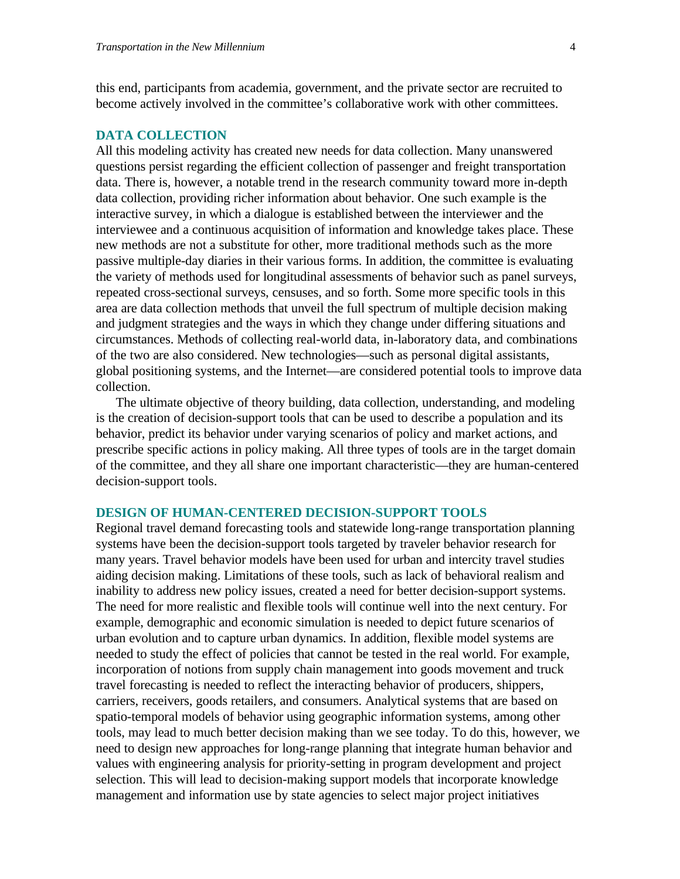this end, participants from academia, government, and the private sector are recruited to become actively involved in the committee's collaborative work with other committees.

#### **DATA COLLECTION**

All this modeling activity has created new needs for data collection. Many unanswered questions persist regarding the efficient collection of passenger and freight transportation data. There is, however, a notable trend in the research community toward more in-depth data collection, providing richer information about behavior. One such example is the interactive survey, in which a dialogue is established between the interviewer and the interviewee and a continuous acquisition of information and knowledge takes place. These new methods are not a substitute for other, more traditional methods such as the more passive multiple-day diaries in their various forms. In addition, the committee is evaluating the variety of methods used for longitudinal assessments of behavior such as panel surveys, repeated cross-sectional surveys, censuses, and so forth. Some more specific tools in this area are data collection methods that unveil the full spectrum of multiple decision making and judgment strategies and the ways in which they change under differing situations and circumstances. Methods of collecting real-world data, in-laboratory data, and combinations of the two are also considered. New technologies—such as personal digital assistants, global positioning systems, and the Internet—are considered potential tools to improve data collection.

The ultimate objective of theory building, data collection, understanding, and modeling is the creation of decision-support tools that can be used to describe a population and its behavior, predict its behavior under varying scenarios of policy and market actions, and prescribe specific actions in policy making. All three types of tools are in the target domain of the committee, and they all share one important characteristic—they are human-centered decision-support tools.

## **DESIGN OF HUMAN-CENTERED DECISION-SUPPORT TOOLS**

Regional travel demand forecasting tools and statewide long-range transportation planning systems have been the decision-support tools targeted by traveler behavior research for many years. Travel behavior models have been used for urban and intercity travel studies aiding decision making. Limitations of these tools, such as lack of behavioral realism and inability to address new policy issues, created a need for better decision-support systems. The need for more realistic and flexible tools will continue well into the next century. For example, demographic and economic simulation is needed to depict future scenarios of urban evolution and to capture urban dynamics. In addition, flexible model systems are needed to study the effect of policies that cannot be tested in the real world. For example, incorporation of notions from supply chain management into goods movement and truck travel forecasting is needed to reflect the interacting behavior of producers, shippers, carriers, receivers, goods retailers, and consumers. Analytical systems that are based on spatio-temporal models of behavior using geographic information systems, among other tools, may lead to much better decision making than we see today. To do this, however, we need to design new approaches for long-range planning that integrate human behavior and values with engineering analysis for priority-setting in program development and project selection. This will lead to decision-making support models that incorporate knowledge management and information use by state agencies to select major project initiatives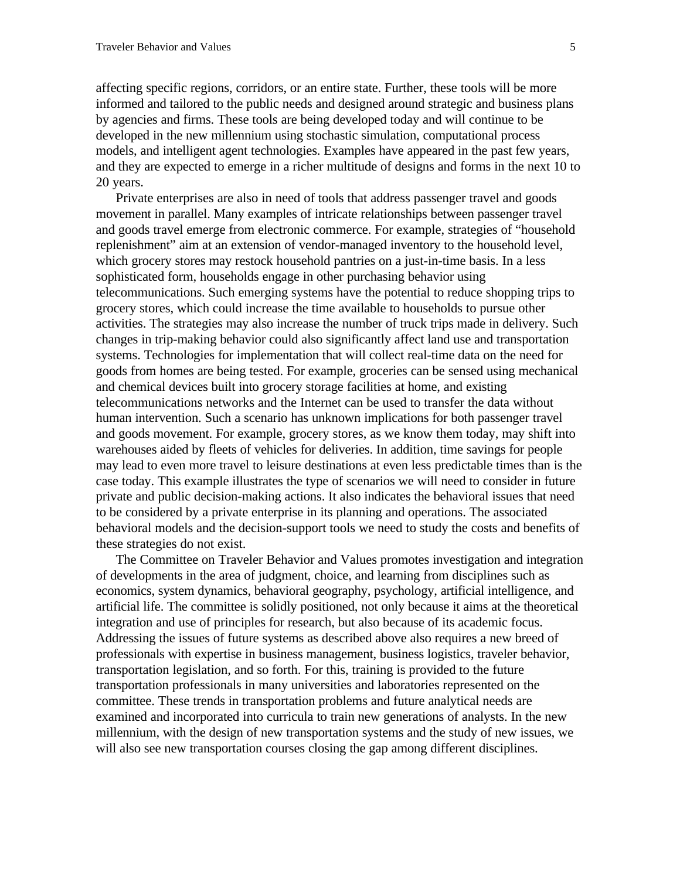affecting specific regions, corridors, or an entire state. Further, these tools will be more informed and tailored to the public needs and designed around strategic and business plans by agencies and firms. These tools are being developed today and will continue to be developed in the new millennium using stochastic simulation, computational process models, and intelligent agent technologies. Examples have appeared in the past few years, and they are expected to emerge in a richer multitude of designs and forms in the next 10 to 20 years.

Private enterprises are also in need of tools that address passenger travel and goods movement in parallel. Many examples of intricate relationships between passenger travel and goods travel emerge from electronic commerce. For example, strategies of "household replenishment" aim at an extension of vendor-managed inventory to the household level, which grocery stores may restock household pantries on a just-in-time basis. In a less sophisticated form, households engage in other purchasing behavior using telecommunications. Such emerging systems have the potential to reduce shopping trips to grocery stores, which could increase the time available to households to pursue other activities. The strategies may also increase the number of truck trips made in delivery. Such changes in trip-making behavior could also significantly affect land use and transportation systems. Technologies for implementation that will collect real-time data on the need for goods from homes are being tested. For example, groceries can be sensed using mechanical and chemical devices built into grocery storage facilities at home, and existing telecommunications networks and the Internet can be used to transfer the data without human intervention. Such a scenario has unknown implications for both passenger travel and goods movement. For example, grocery stores, as we know them today, may shift into warehouses aided by fleets of vehicles for deliveries. In addition, time savings for people may lead to even more travel to leisure destinations at even less predictable times than is the case today. This example illustrates the type of scenarios we will need to consider in future private and public decision-making actions. It also indicates the behavioral issues that need to be considered by a private enterprise in its planning and operations. The associated behavioral models and the decision-support tools we need to study the costs and benefits of these strategies do not exist.

The Committee on Traveler Behavior and Values promotes investigation and integration of developments in the area of judgment, choice, and learning from disciplines such as economics, system dynamics, behavioral geography, psychology, artificial intelligence, and artificial life. The committee is solidly positioned, not only because it aims at the theoretical integration and use of principles for research, but also because of its academic focus. Addressing the issues of future systems as described above also requires a new breed of professionals with expertise in business management, business logistics, traveler behavior, transportation legislation, and so forth. For this, training is provided to the future transportation professionals in many universities and laboratories represented on the committee. These trends in transportation problems and future analytical needs are examined and incorporated into curricula to train new generations of analysts. In the new millennium, with the design of new transportation systems and the study of new issues, we will also see new transportation courses closing the gap among different disciplines.